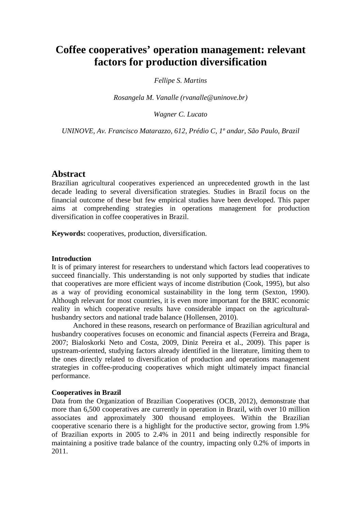# **Coffee cooperatives' operation management: relevant factors for production diversification**

# *Fellipe S. Martins*

*Rosangela M. Vanalle (rvanalle@uninove.br)*

*Wagner C. Lucato* 

*UNINOVE, Av. Francisco Matarazzo, 612, Prédio C, 1º andar, São Paulo, Brazil* 

# **Abstract**

Brazilian agricultural cooperatives experienced an unprecedented growth in the last decade leading to several diversification strategies. Studies in Brazil focus on the financial outcome of these but few empirical studies have been developed. This paper aims at comprehending strategies in operations management for production diversification in coffee cooperatives in Brazil.

**Keywords:** cooperatives, production, diversification.

## **Introduction**

It is of primary interest for researchers to understand which factors lead cooperatives to succeed financially. This understanding is not only supported by studies that indicate that cooperatives are more efficient ways of income distribution (Cook, 1995), but also as a way of providing economical sustainability in the long term (Sexton, 1990). Although relevant for most countries, it is even more important for the BRIC economic reality in which cooperative results have considerable impact on the agriculturalhusbandry sectors and national trade balance (Hollensen, 2010).

Anchored in these reasons, research on performance of Brazilian agricultural and husbandry cooperatives focuses on economic and financial aspects (Ferreira and Braga, 2007; Bialoskorki Neto and Costa, 2009, Diniz Pereira et al., 2009). This paper is upstream-oriented, studying factors already identified in the literature, limiting them to the ones directly related to diversification of production and operations management strategies in coffee-producing cooperatives which might ultimately impact financial performance.

# **Cooperatives in Brazil**

Data from the Organization of Brazilian Cooperatives (OCB, 2012), demonstrate that more than 6,500 cooperatives are currently in operation in Brazil, with over 10 million associates and approximately 300 thousand employees. Within the Brazilian cooperative scenario there is a highlight for the productive sector, growing from 1.9% of Brazilian exports in 2005 to 2.4% in 2011 and being indirectly responsible for maintaining a positive trade balance of the country, impacting only 0.2% of imports in 2011.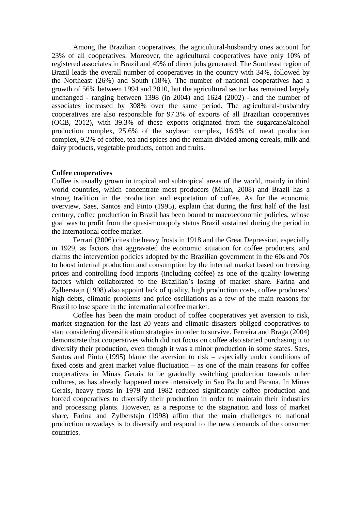Among the Brazilian cooperatives, the agricultural-husbandry ones account for 23% of all cooperatives. Moreover, the agricultural cooperatives have only 10% of registered associates in Brazil and 49% of direct jobs generated. The Southeast region of Brazil leads the overall number of cooperatives in the country with 34%, followed by the Northeast (26%) and South (18%). The number of national cooperatives had a growth of 56% between 1994 and 2010, but the agricultural sector has remained largely unchanged - ranging between 1398 (in 2004) and 1624 (2002) - and the number of associates increased by 308% over the same period. The agricultural-husbandry cooperatives are also responsible for 97.3% of exports of all Brazilian cooperatives (OCB, 2012), with 39.3% of these exports originated from the sugarcane/alcohol production complex, 25.6% of the soybean complex, 16.9% of meat production complex, 9.2% of coffee, tea and spices and the remain divided among cereals, milk and dairy products, vegetable products, cotton and fruits.

## **Coffee cooperatives**

Coffee is usually grown in tropical and subtropical areas of the world, mainly in third world countries, which concentrate most producers (Milan, 2008) and Brazil has a strong tradition in the production and exportation of coffee. As for the economic overview, Saes, Santos and Pinto (1995), explain that during the first half of the last century, coffee production in Brazil has been bound to macroeconomic policies, whose goal was to profit from the quasi-monopoly status Brazil sustained during the period in the international coffee market.

Ferrari (2006) cites the heavy frosts in 1918 and the Great Depression, especially in 1929, as factors that aggravated the economic situation for coffee producers, and claims the intervention policies adopted by the Brazilian government in the 60s and 70s to boost internal production and consumption by the internal market based on freezing prices and controlling food imports (including coffee) as one of the quality lowering factors which collaborated to the Brazilian's losing of market share. Farina and Zylberstajn (1998) also appoint lack of quality, high production costs, coffee producers' high debts, climatic problems and price oscillations as a few of the main reasons for Brazil to lose space in the international coffee market.

Coffee has been the main product of coffee cooperatives yet aversion to risk, market stagnation for the last 20 years and climatic disasters obliged cooperatives to start considering diversification strategies in order to survive. Ferreira and Braga (2004) demonstrate that cooperatives which did not focus on coffee also started purchasing it to diversify their production, even though it was a minor production in some states. Saes, Santos and Pinto (1995) blame the aversion to risk – especially under conditions of fixed costs and great market value fluctuation – as one of the main reasons for coffee cooperatives in Minas Gerais to be gradually switching production towards other cultures, as has already happened more intensively in Sao Paulo and Parana. In Minas Gerais, heavy frosts in 1979 and 1982 reduced significantly coffee production and forced cooperatives to diversify their production in order to maintain their industries and processing plants. However, as a response to the stagnation and loss of market share, Farina and Zylberstajn (1998) affim that the main challenges to national production nowadays is to diversify and respond to the new demands of the consumer countries.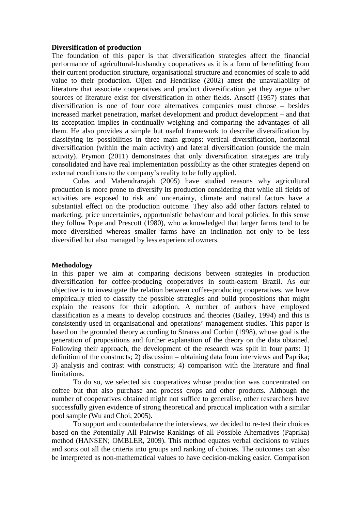## **Diversification of production**

The foundation of this paper is that diversification strategies affect the financial performance of agricultural-husbandry cooperatives as it is a form of benefitting from their current production structure, organisational structure and economies of scale to add value to their production. Oijen and Hendrikse (2002) attest the unavailability of literature that associate cooperatives and product diversification yet they argue other sources of literature exist for diversification in other fields. Ansoff (1957) states that diversification is one of four core alternatives companies must choose – besides increased market penetration, market development and product development – and that its acceptation implies in continually weighing and comparing the advantages of all them. He also provides a simple but useful framework to describe diversification by classifying its possibilities in three main groups: vertical diversification, horizontal diversification (within the main activity) and lateral diversification (outside the main activity). Prymon (2011) demonstrates that only diversification strategies are truly consolidated and have real implementation possibility as the other strategies depend on external conditions to the company's reality to be fully applied.

Culas and Mahendrarajah (2005) have studied reasons why agricultural production is more prone to diversify its production considering that while all fields of activities are exposed to risk and uncertainty, climate and natural factors have a substantial effect on the production outcome. They also add other factors related to marketing, price uncertainties, opportunistic behaviour and local policies. In this sense they follow Pope and Prescott (1980), who acknowledged that larger farms tend to be more diversified whereas smaller farms have an inclination not only to be less diversified but also managed by less experienced owners.

# **Methodology**

In this paper we aim at comparing decisions between strategies in production diversification for coffee-producing cooperatives in south-eastern Brazil. As our objective is to investigate the relation between coffee-producing cooperatives, we have empirically tried to classify the possible strategies and build propositions that might explain the reasons for their adoption. A number of authors have employed classification as a means to develop constructs and theories (Bailey, 1994) and this is consistently used in organisational and operations' management studies. This paper is based on the grounded theory according to Strauss and Corbin (1998), whose goal is the generation of propositions and further explanation of the theory on the data obtained. Following their approach, the development of the research was split in four parts: 1) definition of the constructs; 2) discussion – obtaining data from interviews and Paprika; 3) analysis and contrast with constructs; 4) comparison with the literature and final limitations.

To do so, we selected six cooperatives whose production was concentrated on coffee but that also purchase and process crops and other products. Although the number of cooperatives obtained might not suffice to generalise, other researchers have successfully given evidence of strong theoretical and practical implication with a similar pool sample (Wu and Choi, 2005).

To support and counterbalance the interviews, we decided to re-test their choices based on the Potentially All Pairwise Rankings of all Possible Alternatives (Paprika) method (HANSEN; OMBLER, 2009). This method equates verbal decisions to values and sorts out all the criteria into groups and ranking of choices. The outcomes can also be interpreted as non-mathematical values to have decision-making easier. Comparison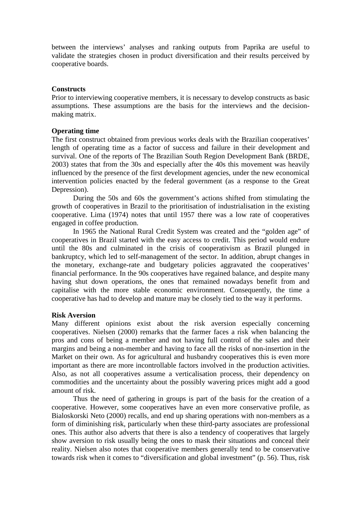between the interviews' analyses and ranking outputs from Paprika are useful to validate the strategies chosen in product diversification and their results perceived by cooperative boards.

# **Constructs**

Prior to interviewing cooperative members, it is necessary to develop constructs as basic assumptions. These assumptions are the basis for the interviews and the decisionmaking matrix.

## **Operating time**

The first construct obtained from previous works deals with the Brazilian cooperatives' length of operating time as a factor of success and failure in their development and survival. One of the reports of The Brazilian South Region Development Bank (BRDE, 2003) states that from the 30s and especially after the 40s this movement was heavily influenced by the presence of the first development agencies, under the new economical intervention policies enacted by the federal government (as a response to the Great Depression).

During the 50s and 60s the government's actions shifted from stimulating the growth of cooperatives in Brazil to the prioritisation of industrialisation in the existing cooperative. Lima (1974) notes that until 1957 there was a low rate of cooperatives engaged in coffee production.

In 1965 the National Rural Credit System was created and the "golden age" of cooperatives in Brazil started with the easy access to credit. This period would endure until the 80s and culminated in the crisis of cooperativism as Brazil plunged in bankruptcy, which led to self-management of the sector. In addition, abrupt changes in the monetary, exchange-rate and budgetary policies aggravated the cooperatives' financial performance. In the 90s cooperatives have regained balance, and despite many having shut down operations, the ones that remained nowadays benefit from and capitalise with the more stable economic environment. Consequently, the time a cooperative has had to develop and mature may be closely tied to the way it performs.

## **Risk Aversion**

Many different opinions exist about the risk aversion especially concerning cooperatives. Nielsen (2000) remarks that the farmer faces a risk when balancing the pros and cons of being a member and not having full control of the sales and their margins and being a non-member and having to face all the risks of non-insertion in the Market on their own. As for agricultural and husbandry cooperatives this is even more important as there are more incontrollable factors involved in the production activities. Also, as not all cooperatives assume a verticalisation process, their dependency on commodities and the uncertainty about the possibly wavering prices might add a good amount of risk.

Thus the need of gathering in groups is part of the basis for the creation of a cooperative. However, some cooperatives have an even more conservative profile, as Bialoskorski Neto (2000) recalls, and end up sharing operations with non-members as a form of diminishing risk, particularly when these third-party associates are professional ones. This author also adverts that there is also a tendency of cooperatives that largely show aversion to risk usually being the ones to mask their situations and conceal their reality. Nielsen also notes that cooperative members generally tend to be conservative towards risk when it comes to "diversification and global investment" (p. 56). Thus, risk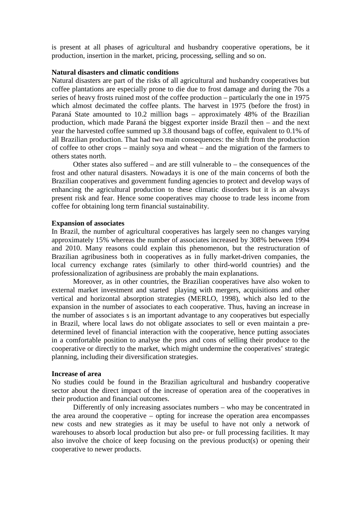is present at all phases of agricultural and husbandry cooperative operations, be it production, insertion in the market, pricing, processing, selling and so on.

## **Natural disasters and climatic conditions**

Natural disasters are part of the risks of all agricultural and husbandry cooperatives but coffee plantations are especially prone to die due to frost damage and during the 70s a series of heavy frosts ruined most of the coffee production – particularly the one in 1975 which almost decimated the coffee plants. The harvest in 1975 (before the frost) in Paraná State amounted to 10.2 million bags – approximately 48% of the Brazilian production, which made Paraná the biggest exporter inside Brazil then – and the next year the harvested coffee summed up 3.8 thousand bags of coffee, equivalent to 0.1% of all Brazilian production. That had two main consequences: the shift from the production of coffee to other crops – mainly soya and wheat – and the migration of the farmers to others states north.

Other states also suffered – and are still vulnerable to – the consequences of the frost and other natural disasters. Nowadays it is one of the main concerns of both the Brazilian cooperatives and government funding agencies to protect and develop ways of enhancing the agricultural production to these climatic disorders but it is an always present risk and fear. Hence some cooperatives may choose to trade less income from coffee for obtaining long term financial sustainability.

#### **Expansion of associates**

In Brazil, the number of agricultural cooperatives has largely seen no changes varying approximately 15% whereas the number of associates increased by 308% between 1994 and 2010. Many reasons could explain this phenomenon, but the restructuration of Brazilian agribusiness both in cooperatives as in fully market-driven companies, the local currency exchange rates (similarly to other third-world countries) and the professionalization of agribusiness are probably the main explanations.

Moreover, as in other countries, the Brazilian cooperatives have also woken to external market investment and started playing with mergers, acquisitions and other vertical and horizontal absorption strategies (MERLO, 1998), which also led to the expansion in the number of associates to each cooperative. Thus, having an increase in the number of associates s is an important advantage to any cooperatives but especially in Brazil, where local laws do not obligate associates to sell or even maintain a predetermined level of financial interaction with the cooperative, hence putting associates in a comfortable position to analyse the pros and cons of selling their produce to the cooperative or directly to the market, which might undermine the cooperatives' strategic planning, including their diversification strategies.

#### **Increase of area**

No studies could be found in the Brazilian agricultural and husbandry cooperative sector about the direct impact of the increase of operation area of the cooperatives in their production and financial outcomes.

Differently of only increasing associates numbers – who may be concentrated in the area around the cooperative – opting for increase the operation area encompasses new costs and new strategies as it may be useful to have not only a network of warehouses to absorb local production but also pre- or full processing facilities. It may also involve the choice of keep focusing on the previous product(s) or opening their cooperative to newer products.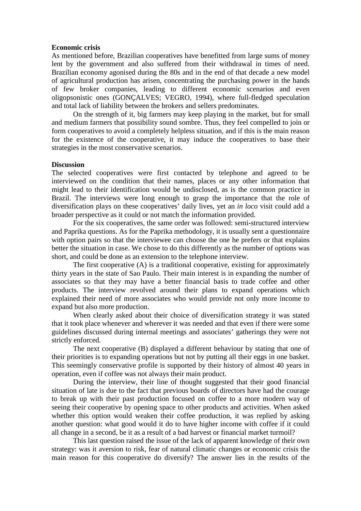## **Economic crisis**

As mentioned before, Brazilian cooperatives have benefitted from large sums of money lent by the government and also suffered from their withdrawal in times of need. Brazilian economy agonised during the 80s and in the end of that decade a new model of agricultural production has arisen, concentrating the purchasing power in the hands of few broker companies, leading to different economic scenarios and even oligopsonistic ones (GONÇALVES; VEGRO, 1994), where full-fledged speculation and total lack of liability between the brokers and sellers predominates.

On the strength of it, big farmers may keep playing in the market, but for small and medium farmers that possibility sound sombre. Thus, they feel compelled to join or form cooperatives to avoid a completely helpless situation, and if this is the main reason for the existence of the cooperative, it may induce the cooperatives to base their strategies in the most conservative scenarios.

## **Discussion**

The selected cooperatives were first contacted by telephone and agreed to be interviewed on the condition that their names, places or any other information that might lead to their identification would be undisclosed, as is the common practice in Brazil. The interviews were long enough to grasp the importance that the role of diversification plays on these cooperatives' daily lives, yet an *in loco* visit could add a broader perspective as it could or not match the information provided.

For the six cooperatives, the same order was followed: semi-structured interview and Paprika questions. As for the Paprika methodology, it is usually sent a questionnaire with option pairs so that the interviewee can choose the one he prefers or that explains better the situation in case. We chose to do this differently as the number of options was short, and could be done as an extension to the telephone interview.

The first cooperative (A) is a traditional cooperative, existing for approximately thirty years in the state of Sao Paulo. Their main interest is in expanding the number of associates so that they may have a better financial basis to trade coffee and other products. The interview revolved around their plans to expand operations which explained their need of more associates who would provide not only more income to expand but also more production.

When clearly asked about their choice of diversification strategy it was stated that it took place whenever and wherever it was needed and that even if there were some guidelines discussed during internal meetings and associates' gatherings they were not strictly enforced.

The next cooperative (B) displayed a different behaviour by stating that one of their priorities is to expanding operations but not by putting all their eggs in one basket. This seemingly conservative profile is supported by their history of almost 40 years in operation, even if coffee was not always their main product.

During the interview, their line of thought suggested that their good financial situation of late is due to the fact that previous boards of directors have had the courage to break up with their past production focused on coffee to a more modern way of seeing their cooperative by opening space to other products and activities. When asked whether this option would weaken their coffee production, it was replied by asking another question: what good would it do to have higher income with coffee if it could all change in a second, be it as a result of a bad harvest or financial market turmoil?

This last question raised the issue of the lack of apparent knowledge of their own strategy: was it aversion to risk, fear of natural climatic changes or economic crisis the main reason for this cooperative do diversify? The answer lies in the results of the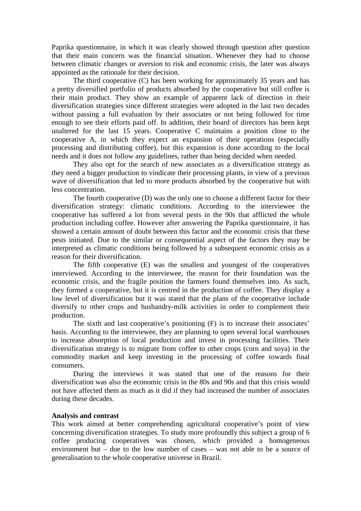Paprika questionnaire, in which it was clearly showed through question after question that their main concern was the financial situation. Whenever they had to choose between climatic changes or aversion to risk and economic crisis, the later was always appointed as the rationale for their decision.

The third cooperative (C) has been working for approximately 35 years and has a pretty diversified portfolio of products absorbed by the cooperative but still coffee is their main product. They show an example of apparent lack of direction in their diversification strategies since different strategies were adopted in the last two decades without passing a full evaluation by their associates or not being followed for time enough to see their efforts paid off. In addition, their board of directors has been kept unaltered for the last 15 years. Cooperative C maintains a position close to the cooperative A, in which they expect an expansion of their operations (especially processing and distributing coffee), but this expansion is done according to the local needs and it does not follow any guidelines, rather than being decided when needed.

They also opt for the search of new associates as a diversification strategy as they need a bigger production to vindicate their processing plants, in view of a previous wave of diversification that led to more products absorbed by the cooperative but with less concentration.

The fourth cooperative (D) was the only one to choose a different factor for their diversification strategy: climatic conditions. According to the interviewee the cooperative has suffered a lot from several pests in the 90s that afflicted the whole production including coffee. However after answering the Paprika questionnaire, it has showed a certain amount of doubt between this factor and the economic crisis that these pests initiated. Due to the similar or consequential aspect of the factors they may be interpreted as climatic conditions being followed by a subsequent economic crisis as a reason for their diversification.

The fifth cooperative (E) was the smallest and youngest of the cooperatives interviewed. According to the interviewee, the reason for their foundation was the economic crisis, and the fragile position the farmers found themselves into. As such, they formed a cooperative, but it is centred in the production of coffee. They display a low level of diversification but it was stated that the plans of the cooperative include diversify to other crops and husbandry-milk activities in order to complement their production.

The sixth and last cooperative's positioning (F) is to increase their associates' basis. According to the interviewee, they are planning to open several local warehouses to increase absorption of local production and invest in processing facilities. Their diversification strategy is to migrate from coffee to other crops (corn and soya) in the commodity market and keep investing in the processing of coffee towards final consumers.

During the interviews it was stated that one of the reasons for their diversification was also the economic crisis in the 80s and 90s and that this crisis would not have affected them as much as it did if they had increased the number of associates during these decades.

## **Analysis and contrast**

This work aimed at better comprehending agricultural cooperative's point of view concerning diversification strategies. To study more profoundly this subject a group of 6 coffee producing cooperatives was chosen, which provided a homogeneous environment but – due to the low number of cases – was not able to be a source of generalisation to the whole cooperative universe in Brazil.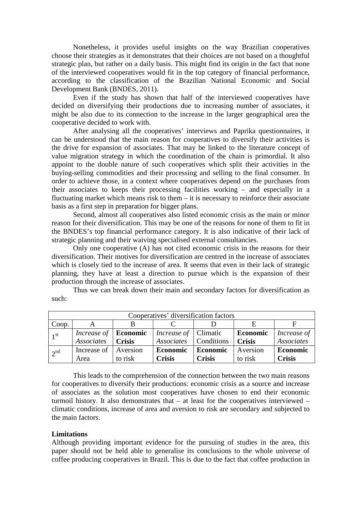Nonetheless, it provides useful insights on the way Brazilian cooperatives choose their strategies as it demonstrates that their choices are not based on a thoughtful strategic plan, but rather on a daily basis. This might find its origin in the fact that none of the interviewed cooperatives would fit in the top category of financial performance, according to the classification of the Brazilian National Economic and Social Development Bank (BNDES, 2011).

Even if the study has shown that half of the interviewed cooperatives have decided on diversifying their productions due to increasing number of associates, it might be also due to its connection to the increase in the larger geographical area the cooperative decided to work with.

After analysing all the cooperatives' interviews and Paprika questionnaires, it can be understood that the main reason for cooperatives to diversify their activities is the drive for expansion of associates. That may be linked to the literature concept of value migration strategy in which the coordination of the chain is primordial. It also appoint to the double nature of such cooperatives which split their activities in the buying-selling commodities and their processing and selling to the final consumer. In order to achieve those, in a context where cooperatives depend on the purchases from their associates to keeps their processing facilities working – and especially in a fluctuating market which means risk to them – it is necessary to reinforce their associate basis as a first step in preparation for bigger plans.

Second, almost all cooperatives also listed economic crisis as the main or minor reason for their diversification. This may be one of the reasons for none of them to fit in the BNDES's top financial performance category. It is also indicative of their lack of strategic planning and their waiving specialised external consultancies.

Only one cooperative (A) has not cited economic crisis in the reasons for their diversification. Their motives for diversification are centred in the increase of associates which is closely tied to the increase of area. It seems that even in their lack of strategic planning, they have at least a direction to pursue which is the expansion of their production through the increase of associates.

Thus we can break down their main and secondary factors for diversification as such:

| Cooperatives' diversification factors |                                     |               |                                |               |                 |               |
|---------------------------------------|-------------------------------------|---------------|--------------------------------|---------------|-----------------|---------------|
| Coop.                                 |                                     |               |                                |               |                 |               |
| 1 <sup>st</sup>                       | Increase of $\vert$ <b>Economic</b> |               | <i>Increase of</i> Climatic    |               | <b>Economic</b> | Increase of   |
|                                       | <b>Associates</b>                   | <b>Crisis</b> | <i>Associates</i>   Conditions |               | <b>Crisis</b>   | Associates    |
| 2 <sup>nd</sup>                       | Increase of                         | Aversion      | <b>Economic</b>                | Economic      | Aversion        | Economic      |
|                                       | Area                                | to risk       | <b>Crisis</b>                  | <b>Crisis</b> | to risk         | <b>Crisis</b> |

This leads to the comprehension of the connection between the two main reasons for cooperatives to diversify their productions: economic crisis as a source and increase of associates as the solution most cooperatives have chosen to end their economic turmoil history. It also demonstrates that – at least for the cooperatives interviewed – climatic conditions, increase of area and aversion to risk are secondary and subjected to the main factors.

# **Limitations**

Although providing important evidence for the pursuing of studies in the area, this paper should not be held able to generalise its conclusions to the whole universe of coffee producing cooperatives in Brazil. This is due to the fact that coffee production in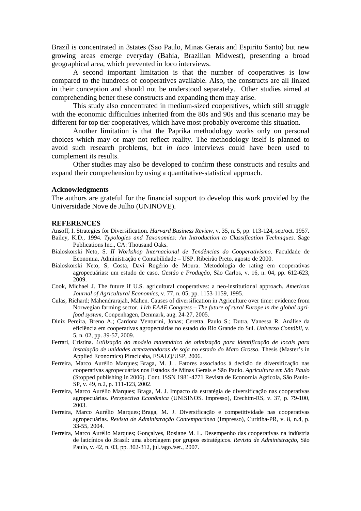Brazil is concentrated in 3states (Sao Paulo, Minas Gerais and Espirito Santo) but new growing areas emerge everyday (Bahia, Brazilian Midwest), presenting a broad geographical area, which prevented in loco interviews.

A second important limitation is that the number of cooperatives is low compared to the hundreds of cooperatives available. Also, the constructs are all linked in their conception and should not be understood separately. Other studies aimed at comprehending better these constructs and expanding them may arise.

This study also concentrated in medium-sized cooperatives, which still struggle with the economic difficulties inherited from the 80s and 90s and this scenario may be different for top tier cooperatives, which have most probably overcome this situation.

Another limitation is that the Paprika methodology works only on personal choices which may or may not reflect reality. The methodology itself is planned to avoid such research problems, but *in loco* interviews could have been used to complement its results.

Other studies may also be developed to confirm these constructs and results and expand their comprehension by using a quantitative-statistical approach.

#### **Acknowledgments**

The authors are grateful for the financial support to develop this work provided by the Universidade Nove de Julho (UNINOVE).

#### **REFERENCES**

Ansoff, I. Strategies for Diversification. *Harvard Business Review*, v. 35, n. 5, pp. 113-124, sep/oct. 1957.

- Bailey, K.D., 1994. *Typologies and Taxonomies: An Introduction to Classification Techniques*. Sage Publications Inc., CA: Thousand Oaks.
- Bialoskorski Neto, S. *II Workshop Internacional de Tendências do Cooperativismo*. Faculdade de Economia, Administração e Contabilidade – USP. Ribeirão Preto, agosto de 2000.
- Bialoskorski Neto, S; Costa, Davi Rogério de Moura. Metodologia de rating em cooperativas agropecuárias: um estudo de caso. *Gestão e Produção*, São Carlos, v. 16, n. 04, pp. 612-623, 2009.
- Cook, Michael J. The future if U.S. agricultural cooperatives: a neo-institutional approach. *American Journal of Agricultural Economics*, v. 77, n. 05, pp. 1153-1159, 1995.
- Culas, Richard; Mahendrarajah, Mahen. Causes of diversification in Agriculture over time: evidence from Norwegian farming sector. *11th EAAE Congress – The future of rural Europe in the global agrifood system*, Conpenhagen, Denmark, aug. 24-27, 2005.
- Diniz Pereira, Breno A.; Cardona Venturini, Jonas; Ceretta, Paulo S.; Dutra, Vanessa R. Análise da eficiência em cooperativas agropecuárias no estado do Rio Grande do Sul. *Universo Contábil*, v. 5, n. 02, pp. 39-57, 2009.
- Ferrari, Cristina. *Utilização do modelo matemático de otimização para identificação de locais para instalação de unidades armazenadoras de soja no estado do Mato Grosso*. Thesis (Master's in Applied Economics) Piracicaba, ESALQ/USP, 2006.
- Ferreira, Marco Aurélio Marques; Braga, M. J. . Fatores associados à decisão de diversificação nas cooperativas agropecuárias nos Estados de Minas Gerais e São Paulo. *Agricultura em São Paulo* (Stopped publishing in 2006). Cont. ISSN 1981-4771 Revista de Economia Agrícola, São Paulo-SP, v. 49, n.2, p. 111-123, 2002.
- Ferreira, Marco Aurélio Marques; Braga, M. J. Impacto da estratégia de diversificação nas cooperativas agropecuárias. *Perspectiva Econômica* (UNISINOS. Impresso), Erechim-RS, v. 37, p. 79-100, 2003.
- Ferreira, Marco Aurélio Marques; Braga, M. J. Diversificação e competitividade nas cooperativas agropecuárias. *Revista de Administração Contemporânea* (Impresso), Curitiba-PR, v. 8, n.4, p. 33-55, 2004.
- Ferreira, Marco Aurélio Marques; Gonçalves, Rosiane M. L. Desempenho das cooperativas na indústria de laticínios do Brasil: uma abordagem por grupos estratégicos. *Revista de Administração*, São Paulo, v. 42, n. 03, pp. 302-312, jul./ago./set., 2007.